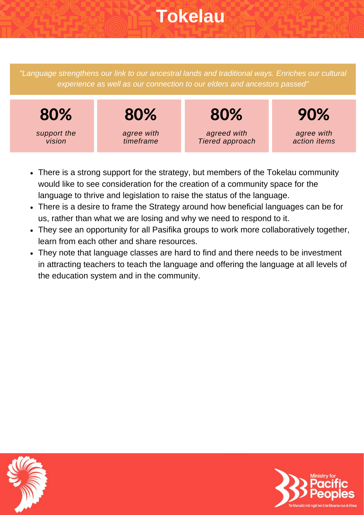# **Tokelau**

*"Language strengthens our link to our ancestral lands and traditional ways. Enriches our cultural experience as well as our connection to our elders and ancestors passed"*



- There is a strong support for the strategy, but members of the Tokelau community would like to see consideration for the creation of a community space for the language to thrive and legislation to raise the status of the language.
- There is a desire to frame the Strategy around how beneficial languages can be for us, rather than what we are losing and why we need to respond to it.
- They see an opportunity for all Pasifika groups to work more collaboratively together, learn from each other and share resources.
- They note that language classes are hard to find and there needs to be investment in attracting teachers to teach the language and offering the language at all levels of the education system and in the community.



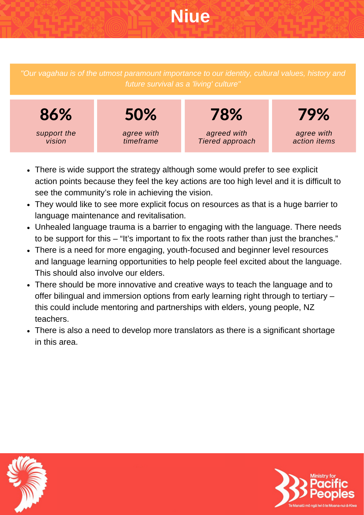# **Niue**

*"Our vagahau is of the utmost paramount importance to our identity, cultural values, history and future survival as a 'living' culture"*



- There is wide support the strategy although some would prefer to see explicit action points because they feel the key actions are too high level and it is difficult to see the community's role in achieving the vision.
- They would like to see more explicit focus on resources as that is a huge barrier to language maintenance and revitalisation.
- Unhealed language trauma is a barrier to engaging with the language. There needs to be support for this – "It's important to fix the roots rather than just the branches."
- There is a need for more engaging, youth-focused and beginner level resources and language learning opportunities to help people feel excited about the language. This should also involve our elders.
- There should be more innovative and creative ways to teach the language and to offer bilingual and immersion options from early learning right through to tertiary – this could include mentoring and partnerships with elders, young people, NZ teachers.
- There is also a need to develop more translators as there is a significant shortage in this area.



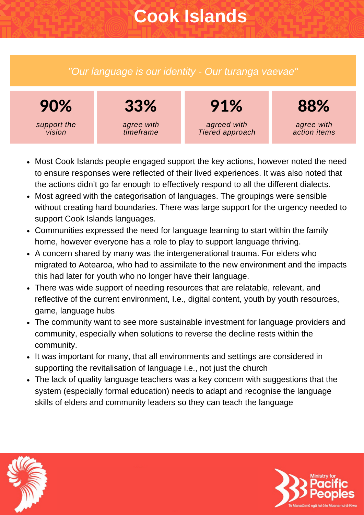# **Cook Islands**

### *"Our language is our identity - Our turanga vaevae"*



- Most Cook Islands people engaged support the key actions, however noted the need to ensure responses were reflected of their lived experiences. It was also noted that the actions didn't go far enough to effectively respond to all the different dialects.
- Most agreed with the categorisation of languages. The groupings were sensible without creating hard boundaries. There was large support for the urgency needed to support Cook Islands languages.
- Communities expressed the need for language learning to start within the family home, however everyone has a role to play to support language thriving.
- A concern shared by many was the intergenerational trauma. For elders who migrated to Aotearoa, who had to assimilate to the new environment and the impacts this had later for youth who no longer have their language.
- There was wide support of needing resources that are relatable, relevant, and reflective of the current environment, I.e., digital content, youth by youth resources, game, language hubs
- The community want to see more sustainable investment for language providers and community, especially when solutions to reverse the decline rests within the community.
- It was important for many, that all environments and settings are considered in supporting the revitalisation of language i.e., not just the church
- The lack of quality language teachers was a key concern with suggestions that the system (especially formal education) needs to adapt and recognise the language skills of elders and community leaders so they can teach the language



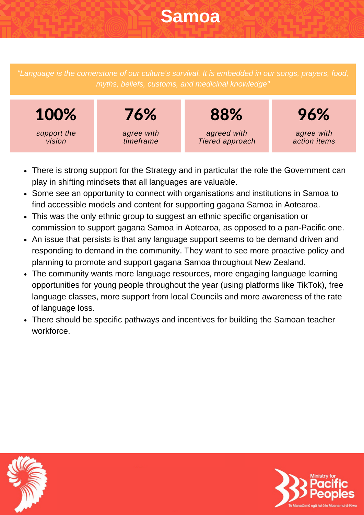## **Samoa**

*"Language is the cornerstone of our culture's survival. It is embedded in our songs, prayers, food, myths, beliefs, customs, and medicinal knowledge"*



- There is strong support for the Strategy and in particular the role the Government can play in shifting mindsets that all languages are valuable.
- Some see an opportunity to connect with organisations and institutions in Samoa to find accessible models and content for supporting gagana Samoa in Aotearoa.
- This was the only ethnic group to suggest an ethnic specific organisation or commission to support gagana Samoa in Aotearoa, as opposed to a pan-Pacific one.
- An issue that persists is that any language support seems to be demand driven and responding to demand in the community. They want to see more proactive policy and planning to promote and support gagana Samoa throughout New Zealand.
- The community wants more language resources, more engaging language learning opportunities for young people throughout the year (using platforms like TikTok), free language classes, more support from local Councils and more awareness of the rate of language loss.
- There should be specific pathways and incentives for building the Samoan teacher workforce.



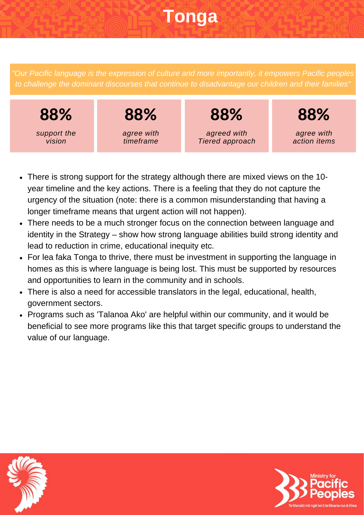# **Tonga**

*"Our Pacific language is the expression of culture and more importantly, it empowers Pacific peoples to challenge the dominant discourses that continue to disadvantage our children and their families"*



- There is strong support for the strategy although there are mixed views on the 10 year timeline and the key actions. There is a feeling that they do not capture the urgency of the situation (note: there is a common misunderstanding that having a longer timeframe means that urgent action will not happen).
- There needs to be a much stronger focus on the connection between language and identity in the Strategy – show how strong language abilities build strong identity and lead to reduction in crime, educational inequity etc.
- For lea faka Tonga to thrive, there must be investment in supporting the language in homes as this is where language is being lost. This must be supported by resources and opportunities to learn in the community and in schools.
- There is also a need for accessible translators in the legal, educational, health, government sectors.
- Programs such as 'Talanoa Ako' are helpful within our community, and it would be beneficial to see more programs like this that target specific groups to understand the value of our language.



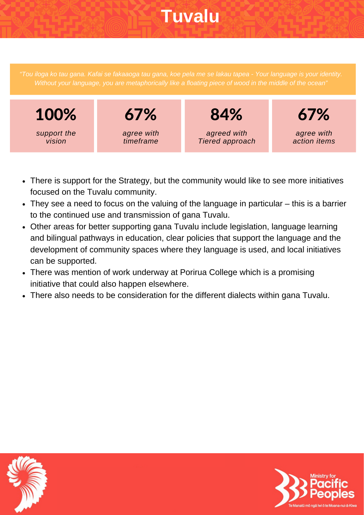# **Tuvalu**

Without your language, you are metaphorically like a floating piece of wood in the middle of the ocean"



- There is support for the Strategy, but the community would like to see more initiatives focused on the Tuvalu community.
- They see a need to focus on the valuing of the language in particular this is a barrier to the continued use and transmission of gana Tuvalu.
- Other areas for better supporting gana Tuvalu include legislation, language learning and bilingual pathways in education, clear policies that support the language and the development of community spaces where they language is used, and local initiatives can be supported.
- There was mention of work underway at Porirua College which is a promising initiative that could also happen elsewhere.
- There also needs to be consideration for the different dialects within gana Tuvalu.



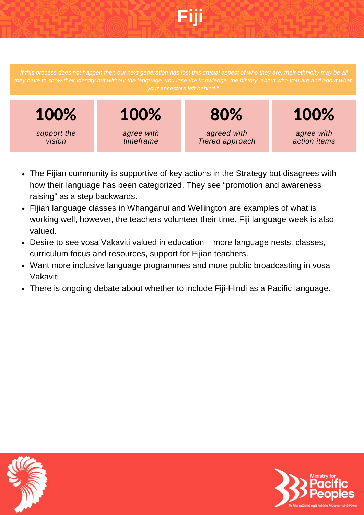# **Fiji**

they have to show their identity but without the language, you lose the knowledge, the history, about who you are and about what



- The Fijian community is supportive of key actions in the Strategy but disagrees with how their language has been categorized. They see "promotion and awareness raising" as a step backwards.
- Fijian language classes in Whanganui and Wellington are examples of what is working well, however, the teachers volunteer their time. Fiji language week is also valued.
- Desire to see vosa Vakaviti valued in education more language nests, classes, curriculum focus and resources, support for Fijian teachers.
- Want more inclusive language programmes and more public broadcasting in vosa Vakaviti
- There is ongoing debate about whether to include Fiji-Hindi as a Pacific language.



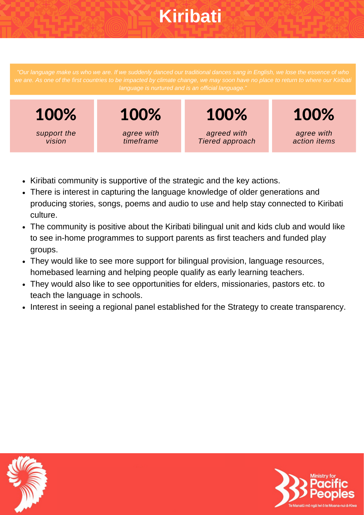# **Kiribati**

we are. As one of the first countries to be impacted by climate change, we may soon have no place to return to where our Kiribati

100% *support the vision*

100% *agree with timeframe*

100% *agreed with Tiered approach*

*agree with action items*

100%

- Kiribati community is supportive of the strategic and the key actions.
- There is interest in capturing the language knowledge of older generations and producing stories, songs, poems and audio to use and help stay connected to Kiribati culture.
- The community is positive about the Kiribati bilingual unit and kids club and would like to see in-home programmes to support parents as first teachers and funded play groups.
- They would like to see more support for bilingual provision, language resources, homebased learning and helping people qualify as early learning teachers.
- They would also like to see opportunities for elders, missionaries, pastors etc. to teach the language in schools.
- Interest in seeing a regional panel established for the Strategy to create transparency.



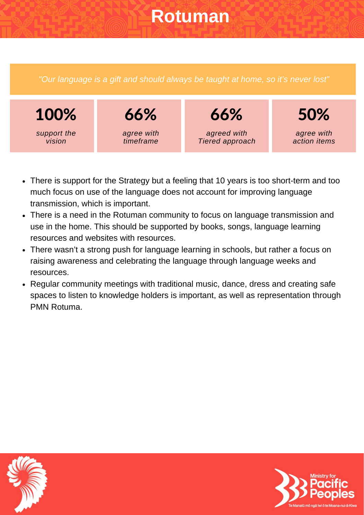## **Rotuman**

*"Our language is a gift and should always be taught at home, so it's never lost"*



- There is support for the Strategy but a feeling that 10 years is too short-term and too much focus on use of the language does not account for improving language transmission, which is important.
- There is a need in the Rotuman community to focus on language transmission and use in the home. This should be supported by books, songs, language learning resources and websites with resources.
- There wasn't a strong push for language learning in schools, but rather a focus on raising awareness and celebrating the language through language weeks and resources.
- Regular community meetings with traditional music, dance, dress and creating safe spaces to listen to knowledge holders is important, as well as representation through PMN Rotuma.